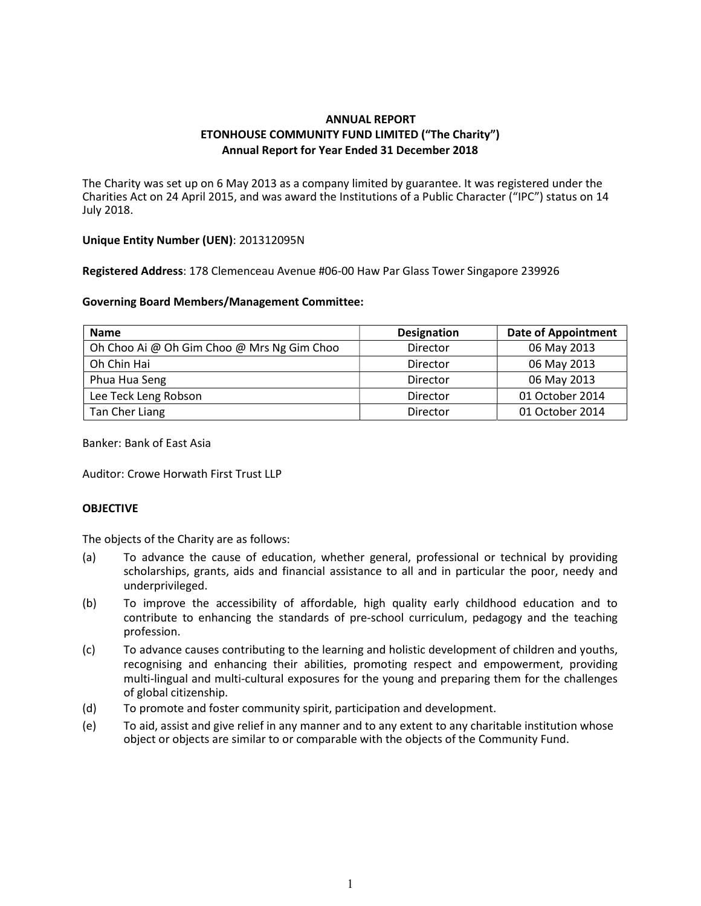# ANNUAL REPORT ETONHOUSE COMMUNITY FUND LIMITED ("The Charity") Annual Report for Year Ended 31 December 2018

The Charity was set up on 6 May 2013 as a company limited by guarantee. It was registered under the Charities Act on 24 April 2015, and was award the Institutions of a Public Character ("IPC") status on 14 July 2018.

## Unique Entity Number (UEN): 201312095N

Registered Address: 178 Clemenceau Avenue #06-00 Haw Par Glass Tower Singapore 239926

## Governing Board Members/Management Committee:

| <b>Name</b>                                | <b>Designation</b> | <b>Date of Appointment</b> |
|--------------------------------------------|--------------------|----------------------------|
| Oh Choo Ai @ Oh Gim Choo @ Mrs Ng Gim Choo | Director           | 06 May 2013                |
| Oh Chin Hai                                | Director           | 06 May 2013                |
| Phua Hua Seng                              | Director           | 06 May 2013                |
| Lee Teck Leng Robson                       | Director           | 01 October 2014            |
| Tan Cher Liang                             | Director           | 01 October 2014            |

Banker: Bank of East Asia

Auditor: Crowe Horwath First Trust LLP

# **OBJECTIVE**

The objects of the Charity are as follows:

- (a) To advance the cause of education, whether general, professional or technical by providing scholarships, grants, aids and financial assistance to all and in particular the poor, needy and underprivileged.
- (b) To improve the accessibility of affordable, high quality early childhood education and to contribute to enhancing the standards of pre-school curriculum, pedagogy and the teaching profession.
- (c) To advance causes contributing to the learning and holistic development of children and youths, recognising and enhancing their abilities, promoting respect and empowerment, providing multi-lingual and multi-cultural exposures for the young and preparing them for the challenges of global citizenship.
- (d) To promote and foster community spirit, participation and development.
- (e) To aid, assist and give relief in any manner and to any extent to any charitable institution whose object or objects are similar to or comparable with the objects of the Community Fund.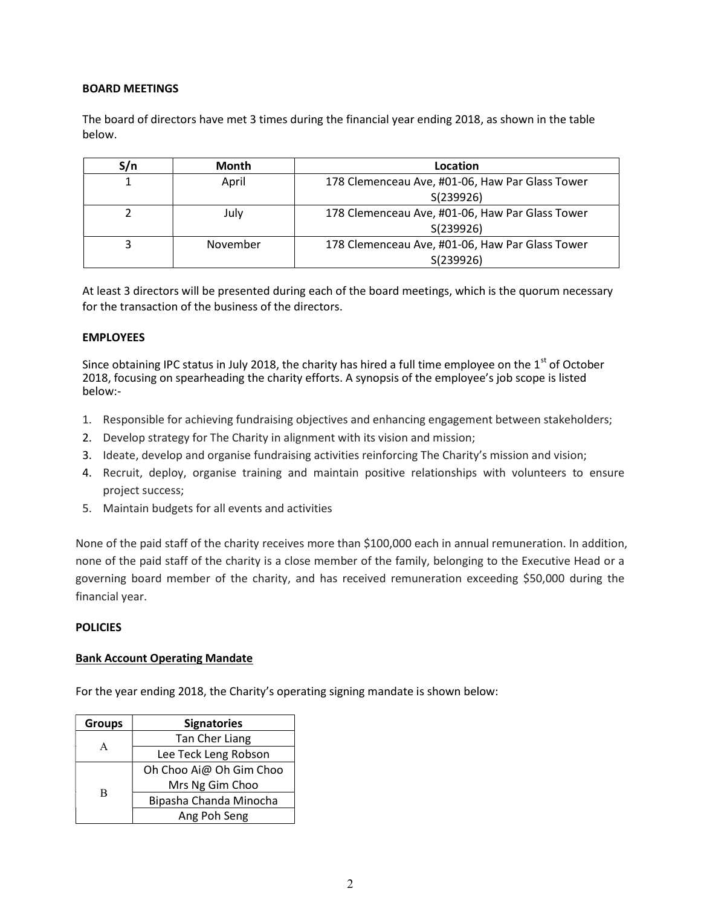# BOARD MEETINGS

The board of directors have met 3 times during the financial year ending 2018, as shown in the table below.

| S/n | <b>Month</b> | Location                                        |  |
|-----|--------------|-------------------------------------------------|--|
|     | April        | 178 Clemenceau Ave, #01-06, Haw Par Glass Tower |  |
|     |              | S(239926)                                       |  |
|     | Julv         | 178 Clemenceau Ave, #01-06, Haw Par Glass Tower |  |
|     |              | S(239926)                                       |  |
|     | November     | 178 Clemenceau Ave, #01-06, Haw Par Glass Tower |  |
|     |              | S(239926)                                       |  |

At least 3 directors will be presented during each of the board meetings, which is the quorum necessary for the transaction of the business of the directors.

## EMPLOYEES

Since obtaining IPC status in July 2018, the charity has hired a full time employee on the  $1<sup>st</sup>$  of October 2018, focusing on spearheading the charity efforts. A synopsis of the employee's job scope is listed below:-

- 1. Responsible for achieving fundraising objectives and enhancing engagement between stakeholders;
- 2. Develop strategy for The Charity in alignment with its vision and mission;
- 3. Ideate, develop and organise fundraising activities reinforcing The Charity's mission and vision;
- 4. Recruit, deploy, organise training and maintain positive relationships with volunteers to ensure project success;
- 5. Maintain budgets for all events and activities

None of the paid staff of the charity receives more than \$100,000 each in annual remuneration. In addition, none of the paid staff of the charity is a close member of the family, belonging to the Executive Head or a governing board member of the charity, and has received remuneration exceeding \$50,000 during the financial year.

#### POLICIES

#### Bank Account Operating Mandate

For the year ending 2018, the Charity's operating signing mandate is shown below:

| <b>Groups</b> | <b>Signatories</b>      |  |  |
|---------------|-------------------------|--|--|
| А             | Tan Cher Liang          |  |  |
|               | Lee Teck Leng Robson    |  |  |
| В             | Oh Choo Ai@ Oh Gim Choo |  |  |
|               | Mrs Ng Gim Choo         |  |  |
|               | Bipasha Chanda Minocha  |  |  |
|               | Ang Poh Seng            |  |  |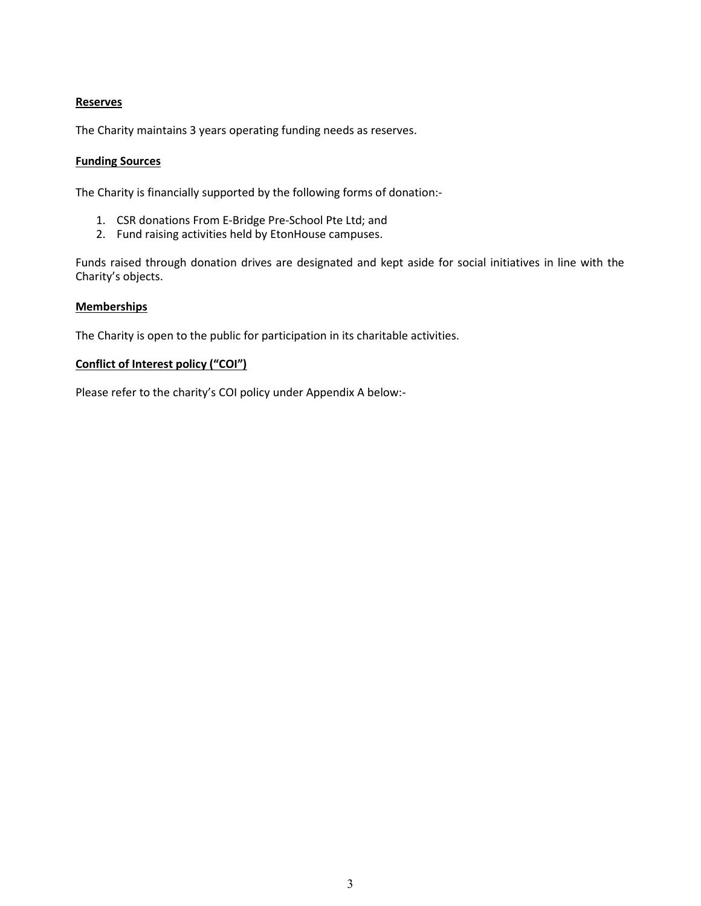# Reserves

The Charity maintains 3 years operating funding needs as reserves.

## Funding Sources

The Charity is financially supported by the following forms of donation:-

- 1. CSR donations From E-Bridge Pre-School Pte Ltd; and
- 2. Fund raising activities held by EtonHouse campuses.

Funds raised through donation drives are designated and kept aside for social initiatives in line with the Charity's objects.

## Memberships

The Charity is open to the public for participation in its charitable activities.

# Conflict of Interest policy ("COI")

Please refer to the charity's COI policy under Appendix A below:-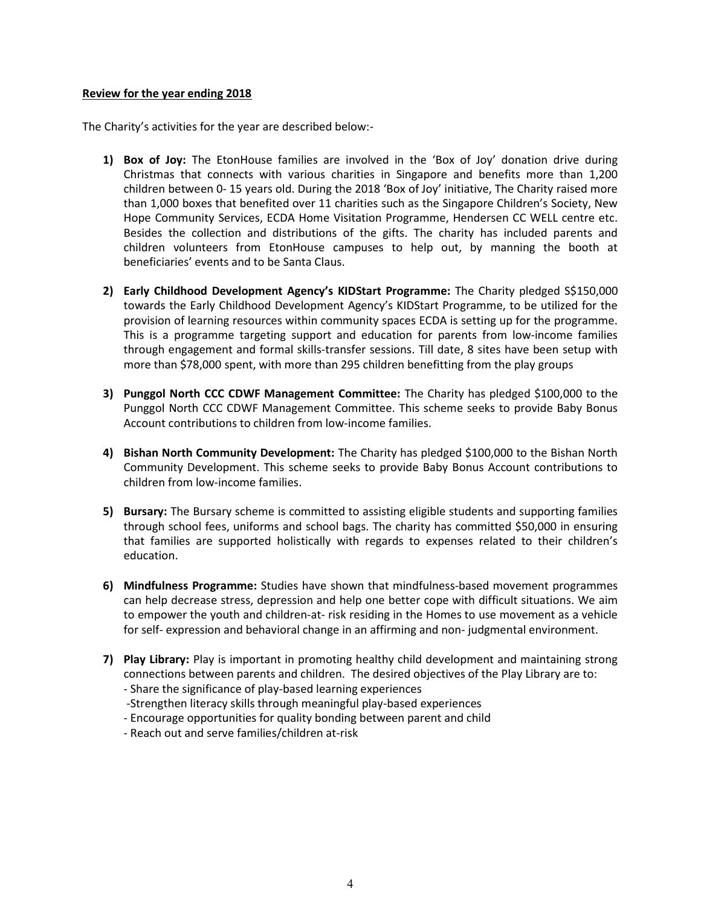#### Review for the year ending 2018

The Charity's activities for the year are described below:-

- 1) Box of Joy: The EtonHouse families are involved in the 'Box of Joy' donation drive during Christmas that connects with various charities in Singapore and benefits more than 1,200 children between 0- 15 years old. During the 2018 'Box of Joy' initiative, The Charity raised more than 1,000 boxes that benefited over 11 charities such as the Singapore Children's Society, New Hope Community Services, ECDA Home Visitation Programme, Hendersen CC WELL centre etc. Besides the collection and distributions of the gifts. The charity has included parents and children volunteers from EtonHouse campuses to help out, by manning the booth at beneficiaries' events and to be Santa Claus.
- 2) Early Childhood Development Agency's KIDStart Programme: The Charity pledged S\$150,000 towards the Early Childhood Development Agency's KIDStart Programme, to be utilized for the provision of learning resources within community spaces ECDA is setting up for the programme. This is a programme targeting support and education for parents from low-income families through engagement and formal skills-transfer sessions. Till date, 8 sites have been setup with more than \$78,000 spent, with more than 295 children benefitting from the play groups
- 3) Punggol North CCC CDWF Management Committee: The Charity has pledged \$100,000 to the Punggol North CCC CDWF Management Committee. This scheme seeks to provide Baby Bonus Account contributions to children from low-income families.
- 4) Bishan North Community Development: The Charity has pledged \$100,000 to the Bishan North Community Development. This scheme seeks to provide Baby Bonus Account contributions to children from low-income families.
- 5) Bursary: The Bursary scheme is committed to assisting eligible students and supporting families through school fees, uniforms and school bags. The charity has committed \$50,000 in ensuring that families are supported holistically with regards to expenses related to their children's education.
- 6) Mindfulness Programme: Studies have shown that mindfulness-based movement programmes can help decrease stress, depression and help one better cope with difficult situations. We aim to empower the youth and children-at- risk residing in the Homes to use movement as a vehicle for self- expression and behavioral change in an affirming and non- judgmental environment.
- 7) Play Library: Play is important in promoting healthy child development and maintaining strong connections between parents and children. The desired objectives of the Play Library are to:
	- Share the significance of play-based learning experiences
	- -Strengthen literacy skills through meaningful play-based experiences
	- Encourage opportunities for quality bonding between parent and child
	- Reach out and serve families/children at-risk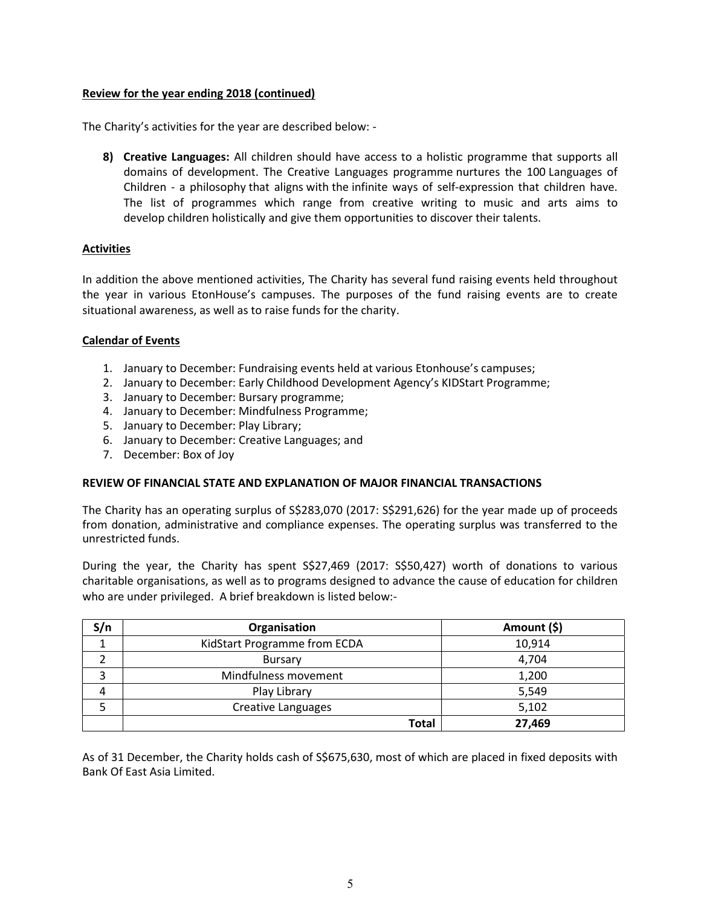# Review for the year ending 2018 (continued)

The Charity's activities for the year are described below: -

8) Creative Languages: All children should have access to a holistic programme that supports all domains of development. The Creative Languages programme nurtures the 100 Languages of Children - a philosophy that aligns with the infinite ways of self-expression that children have. The list of programmes which range from creative writing to music and arts aims to develop children holistically and give them opportunities to discover their talents.

## Activities

In addition the above mentioned activities, The Charity has several fund raising events held throughout the year in various EtonHouse's campuses. The purposes of the fund raising events are to create situational awareness, as well as to raise funds for the charity.

## Calendar of Events

- 1. January to December: Fundraising events held at various Etonhouse's campuses;
- 2. January to December: Early Childhood Development Agency's KIDStart Programme;
- 3. January to December: Bursary programme;
- 4. January to December: Mindfulness Programme;
- 5. January to December: Play Library;
- 6. January to December: Creative Languages; and
- 7. December: Box of Joy

#### REVIEW OF FINANCIAL STATE AND EXPLANATION OF MAJOR FINANCIAL TRANSACTIONS

The Charity has an operating surplus of S\$283,070 (2017: S\$291,626) for the year made up of proceeds from donation, administrative and compliance expenses. The operating surplus was transferred to the unrestricted funds.

During the year, the Charity has spent S\$27,469 (2017: S\$50,427) worth of donations to various charitable organisations, as well as to programs designed to advance the cause of education for children who are under privileged. A brief breakdown is listed below:-

| S/n | Organisation                 | Amount (\$) |
|-----|------------------------------|-------------|
|     | KidStart Programme from ECDA | 10,914      |
|     | <b>Bursary</b>               | 4,704       |
|     | Mindfulness movement         | 1,200       |
| 4   | Play Library                 | 5,549       |
|     | Creative Languages           | 5,102       |
|     | Total                        | 27,469      |

As of 31 December, the Charity holds cash of S\$675,630, most of which are placed in fixed deposits with Bank Of East Asia Limited.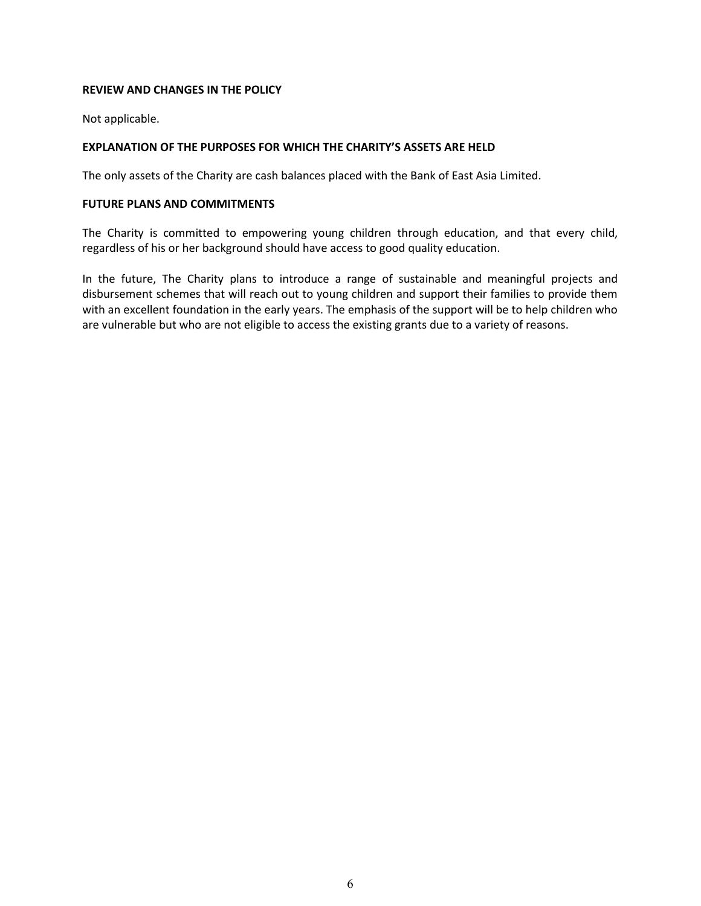# REVIEW AND CHANGES IN THE POLICY

Not applicable.

# EXPLANATION OF THE PURPOSES FOR WHICH THE CHARITY'S ASSETS ARE HELD

The only assets of the Charity are cash balances placed with the Bank of East Asia Limited.

## FUTURE PLANS AND COMMITMENTS

The Charity is committed to empowering young children through education, and that every child, regardless of his or her background should have access to good quality education.

In the future, The Charity plans to introduce a range of sustainable and meaningful projects and disbursement schemes that will reach out to young children and support their families to provide them with an excellent foundation in the early years. The emphasis of the support will be to help children who are vulnerable but who are not eligible to access the existing grants due to a variety of reasons.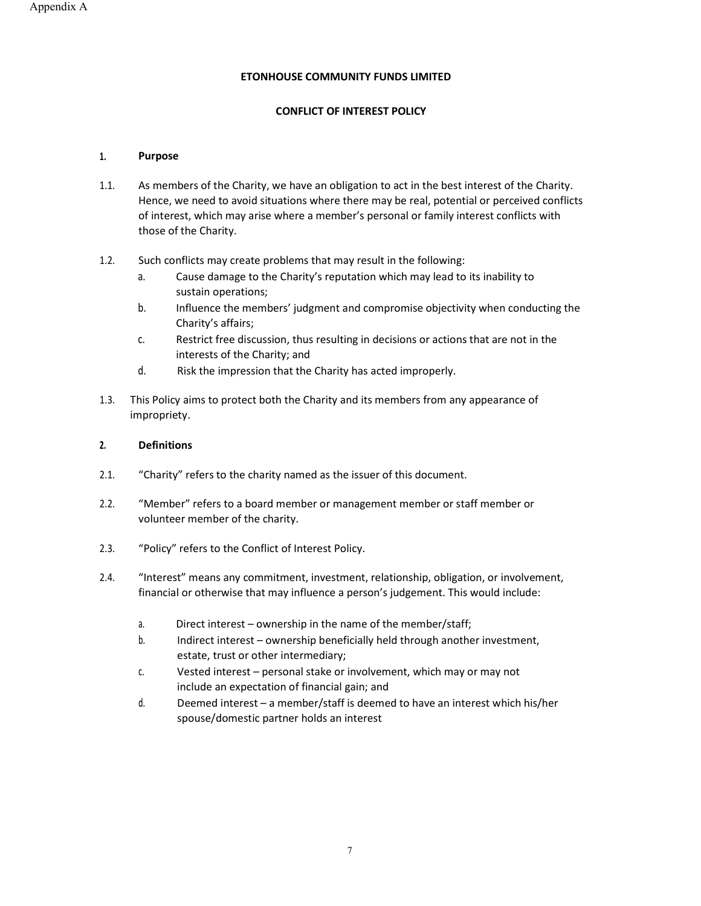#### ETONHOUSE COMMUNITY FUNDS LIMITED

#### CONFLICT OF INTEREST POLICY

#### 1. Purpose

- 1.1. As members of the Charity, we have an obligation to act in the best interest of the Charity. Hence, we need to avoid situations where there may be real, potential or perceived conflicts of interest, which may arise where a member's personal or family interest conflicts with those of the Charity.
- 1.2. Such conflicts may create problems that may result in the following:
	- a. Cause damage to the Charity's reputation which may lead to its inability to sustain operations;
	- b. Influence the members' judgment and compromise objectivity when conducting the Charity's affairs;
	- c. Restrict free discussion, thus resulting in decisions or actions that are not in the interests of the Charity; and
	- d. Risk the impression that the Charity has acted improperly.
- 1.3. This Policy aims to protect both the Charity and its members from any appearance of impropriety.

#### 2. Definitions

- 2.1. "Charity" refers to the charity named as the issuer of this document.
- 2.2. "Member" refers to a board member or management member or staff member or volunteer member of the charity.
- 2.3. "Policy" refers to the Conflict of Interest Policy.
- 2.4. "Interest" means any commitment, investment, relationship, obligation, or involvement, financial or otherwise that may influence a person's judgement. This would include:
	- a. Direct interest ownership in the name of the member/staff;
	- b. Indirect interest ownership beneficially held through another investment, estate, trust or other intermediary;
	- c. Vested interest personal stake or involvement, which may or may not include an expectation of financial gain; and
	- d. Deemed interest a member/staff is deemed to have an interest which his/her spouse/domestic partner holds an interest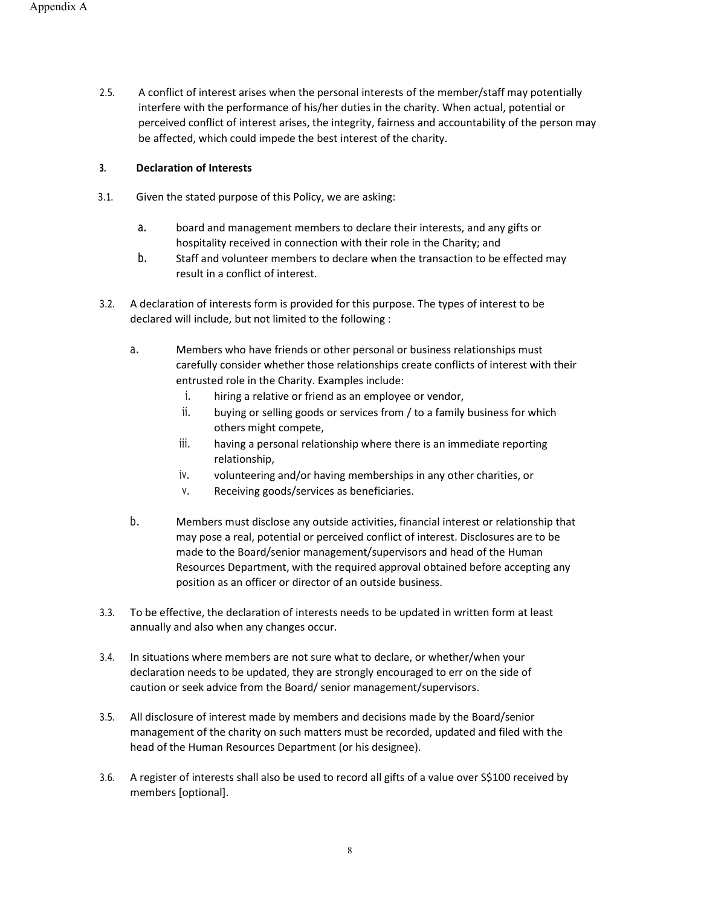2.5. A conflict of interest arises when the personal interests of the member/staff may potentially interfere with the performance of his/her duties in the charity. When actual, potential or perceived conflict of interest arises, the integrity, fairness and accountability of the person may be affected, which could impede the best interest of the charity.

#### 3. Declaration of Interests

- 3.1. Given the stated purpose of this Policy, we are asking:
	- a. board and management members to declare their interests, and any gifts or hospitality received in connection with their role in the Charity; and
	- b. Staff and volunteer members to declare when the transaction to be effected may result in a conflict of interest.
- 3.2. A declaration of interests form is provided for this purpose. The types of interest to be declared will include, but not limited to the following :
	- a. Members who have friends or other personal or business relationships must carefully consider whether those relationships create conflicts of interest with their entrusted role in the Charity. Examples include:
		- i. hiring a relative or friend as an employee or vendor,
		- ii. buying or selling goods or services from / to a family business for which others might compete,
		- iii. having a personal relationship where there is an immediate reporting relationship,
		- iv. volunteering and/or having memberships in any other charities, or
		- v. Receiving goods/services as beneficiaries.
	- b. Members must disclose any outside activities, financial interest or relationship that may pose a real, potential or perceived conflict of interest. Disclosures are to be made to the Board/senior management/supervisors and head of the Human Resources Department, with the required approval obtained before accepting any position as an officer or director of an outside business.
- 3.3. To be effective, the declaration of interests needs to be updated in written form at least annually and also when any changes occur.
- 3.4. In situations where members are not sure what to declare, or whether/when your declaration needs to be updated, they are strongly encouraged to err on the side of caution or seek advice from the Board/ senior management/supervisors.
- 3.5. All disclosure of interest made by members and decisions made by the Board/senior management of the charity on such matters must be recorded, updated and filed with the head of the Human Resources Department (or his designee).
- 3.6. A register of interests shall also be used to record all gifts of a value over S\$100 received by members [optional].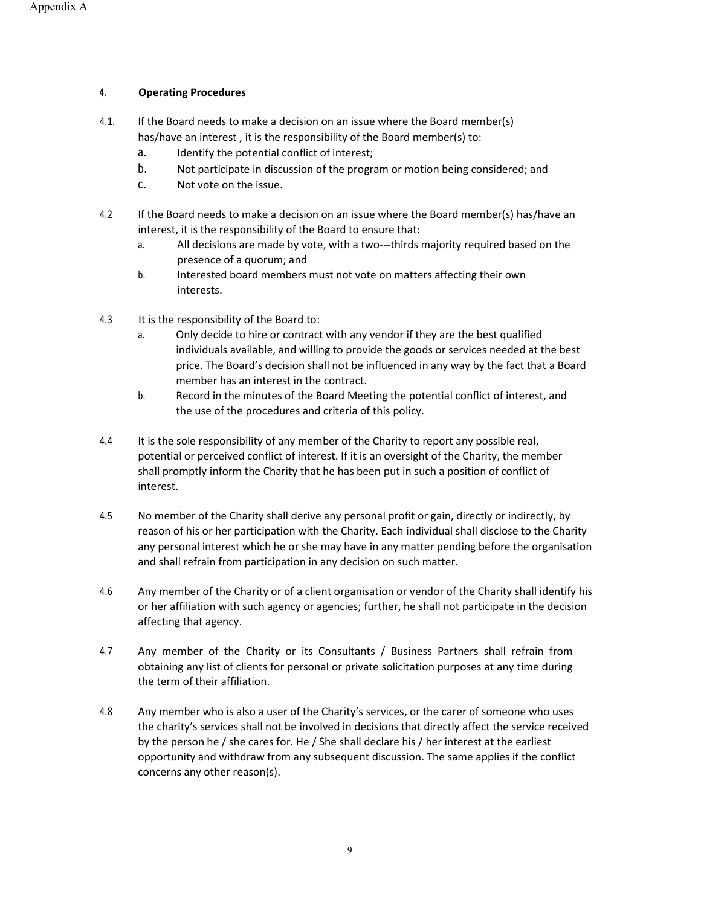#### 4. Operating Procedures

- 4.1. If the Board needs to make a decision on an issue where the Board member(s) has/have an interest , it is the responsibility of the Board member(s) to:
	- a. Identify the potential conflict of interest;
	- b. Not participate in discussion of the program or motion being considered; and
	- c. Not vote on the issue.
- 4.2 If the Board needs to make a decision on an issue where the Board member(s) has/have an interest, it is the responsibility of the Board to ensure that:
	- a. All decisions are made by vote, with a two---thirds majority required based on the presence of a quorum; and
	- b. Interested board members must not vote on matters affecting their own interests.
- 4.3 It is the responsibility of the Board to:
	- a. Only decide to hire or contract with any vendor if they are the best qualified individuals available, and willing to provide the goods or services needed at the best price. The Board's decision shall not be influenced in any way by the fact that a Board member has an interest in the contract.
	- b. Record in the minutes of the Board Meeting the potential conflict of interest, and the use of the procedures and criteria of this policy.
- 4.4 It is the sole responsibility of any member of the Charity to report any possible real, potential or perceived conflict of interest. If it is an oversight of the Charity, the member shall promptly inform the Charity that he has been put in such a position of conflict of interest.
- 4.5 No member of the Charity shall derive any personal profit or gain, directly or indirectly, by reason of his or her participation with the Charity. Each individual shall disclose to the Charity any personal interest which he or she may have in any matter pending before the organisation and shall refrain from participation in any decision on such matter.
- 4.6 Any member of the Charity or of a client organisation or vendor of the Charity shall identify his or her affiliation with such agency or agencies; further, he shall not participate in the decision affecting that agency.
- 4.7 Any member of the Charity or its Consultants / Business Partners shall refrain from obtaining any list of clients for personal or private solicitation purposes at any time during the term of their affiliation.
- 4.8 Any member who is also a user of the Charity's services, or the carer of someone who uses the charity's services shall not be involved in decisions that directly affect the service received by the person he / she cares for. He / She shall declare his / her interest at the earliest opportunity and withdraw from any subsequent discussion. The same applies if the conflict concerns any other reason(s).